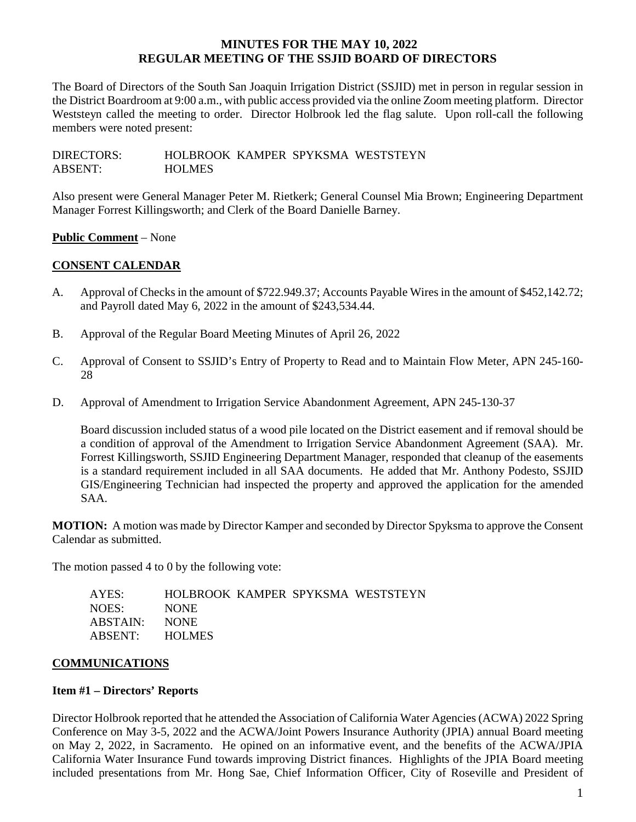The Board of Directors of the South San Joaquin Irrigation District (SSJID) met in person in regular session in the District Boardroom at 9:00 a.m., with public access provided via the online Zoom meeting platform. Director Weststeyn called the meeting to order. Director Holbrook led the flag salute. Upon roll-call the following members were noted present:

DIRECTORS: HOLBROOK KAMPER SPYKSMA WESTSTEYN ABSENT: HOLMES

Also present were General Manager Peter M. Rietkerk; General Counsel Mia Brown; Engineering Department Manager Forrest Killingsworth; and Clerk of the Board Danielle Barney.

# **Public Comment** – None

# **CONSENT CALENDAR**

- A. Approval of Checks in the amount of \$722.949.37; Accounts Payable Wires in the amount of \$452,142.72; and Payroll dated May 6, 2022 in the amount of \$243,534.44.
- B. Approval of the Regular Board Meeting Minutes of April 26, 2022
- C. Approval of Consent to SSJID's Entry of Property to Read and to Maintain Flow Meter, APN 245-160- 28
- D. Approval of Amendment to Irrigation Service Abandonment Agreement, APN 245-130-37

Board discussion included status of a wood pile located on the District easement and if removal should be a condition of approval of the Amendment to Irrigation Service Abandonment Agreement (SAA). Mr. Forrest Killingsworth, SSJID Engineering Department Manager, responded that cleanup of the easements is a standard requirement included in all SAA documents. He added that Mr. Anthony Podesto, SSJID GIS/Engineering Technician had inspected the property and approved the application for the amended SAA.

**MOTION:** A motion was made by Director Kamper and seconded by Director Spyksma to approve the Consent Calendar as submitted.

The motion passed 4 to 0 by the following vote:

| AYES:          |             |  | HOLBROOK KAMPER SPYKSMA WESTSTEYN |
|----------------|-------------|--|-----------------------------------|
| NOES:          | <b>NONE</b> |  |                                   |
| ABSTAIN: NONE  |             |  |                                   |
| ABSENT: HOLMES |             |  |                                   |

# **COMMUNICATIONS**

# **Item #1 – Directors' Reports**

Director Holbrook reported that he attended the Association of California Water Agencies (ACWA) 2022 Spring Conference on May 3-5, 2022 and the ACWA/Joint Powers Insurance Authority (JPIA) annual Board meeting on May 2, 2022, in Sacramento. He opined on an informative event, and the benefits of the ACWA/JPIA California Water Insurance Fund towards improving District finances. Highlights of the JPIA Board meeting included presentations from Mr. Hong Sae, Chief Information Officer, City of Roseville and President of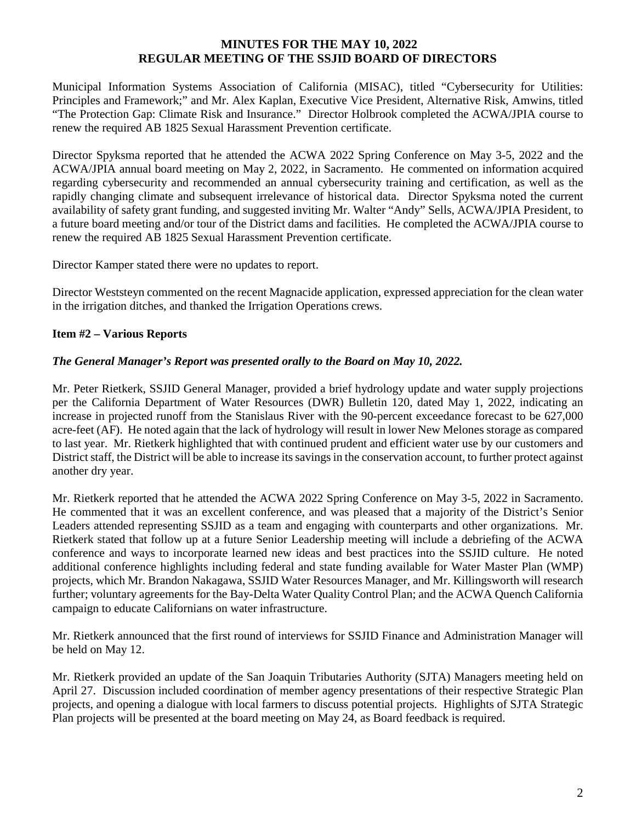Municipal Information Systems Association of California (MISAC), titled "Cybersecurity for Utilities: Principles and Framework;" and Mr. Alex Kaplan, Executive Vice President, Alternative Risk, Amwins, titled "The Protection Gap: Climate Risk and Insurance." Director Holbrook completed the ACWA/JPIA course to renew the required AB 1825 Sexual Harassment Prevention certificate.

Director Spyksma reported that he attended the ACWA 2022 Spring Conference on May 3-5, 2022 and the ACWA/JPIA annual board meeting on May 2, 2022, in Sacramento. He commented on information acquired regarding cybersecurity and recommended an annual cybersecurity training and certification, as well as the rapidly changing climate and subsequent irrelevance of historical data. Director Spyksma noted the current availability of safety grant funding, and suggested inviting Mr. Walter "Andy" Sells, ACWA/JPIA President, to a future board meeting and/or tour of the District dams and facilities. He completed the ACWA/JPIA course to renew the required AB 1825 Sexual Harassment Prevention certificate.

Director Kamper stated there were no updates to report.

Director Weststeyn commented on the recent Magnacide application, expressed appreciation for the clean water in the irrigation ditches, and thanked the Irrigation Operations crews.

# **Item #2 – Various Reports**

# *The General Manager's Report was presented orally to the Board on May 10, 2022.*

Mr. Peter Rietkerk, SSJID General Manager, provided a brief hydrology update and water supply projections per the California Department of Water Resources (DWR) Bulletin 120, dated May 1, 2022, indicating an increase in projected runoff from the Stanislaus River with the 90-percent exceedance forecast to be 627,000 acre-feet (AF). He noted again that the lack of hydrology will result in lower New Melones storage as compared to last year. Mr. Rietkerk highlighted that with continued prudent and efficient water use by our customers and District staff, the District will be able to increase its savings in the conservation account, to further protect against another dry year.

Mr. Rietkerk reported that he attended the ACWA 2022 Spring Conference on May 3-5, 2022 in Sacramento. He commented that it was an excellent conference, and was pleased that a majority of the District's Senior Leaders attended representing SSJID as a team and engaging with counterparts and other organizations. Mr. Rietkerk stated that follow up at a future Senior Leadership meeting will include a debriefing of the ACWA conference and ways to incorporate learned new ideas and best practices into the SSJID culture. He noted additional conference highlights including federal and state funding available for Water Master Plan (WMP) projects, which Mr. Brandon Nakagawa, SSJID Water Resources Manager, and Mr. Killingsworth will research further; voluntary agreements for the Bay-Delta Water Quality Control Plan; and the ACWA Quench California campaign to educate Californians on water infrastructure.

Mr. Rietkerk announced that the first round of interviews for SSJID Finance and Administration Manager will be held on May 12.

Mr. Rietkerk provided an update of the San Joaquin Tributaries Authority (SJTA) Managers meeting held on April 27. Discussion included coordination of member agency presentations of their respective Strategic Plan projects, and opening a dialogue with local farmers to discuss potential projects. Highlights of SJTA Strategic Plan projects will be presented at the board meeting on May 24, as Board feedback is required.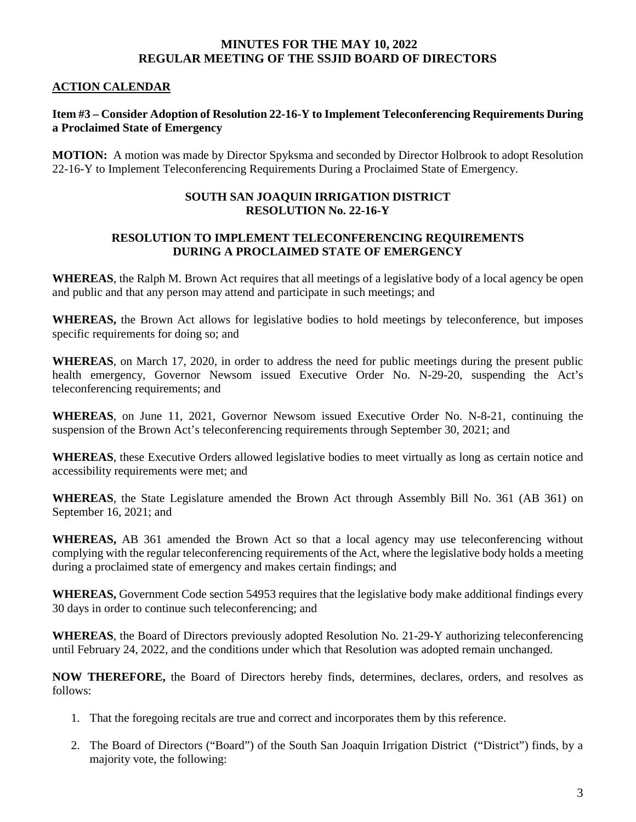# **ACTION CALENDAR**

# **Item #3 – Consider Adoption of Resolution 22-16-Y to Implement Teleconferencing Requirements During a Proclaimed State of Emergency**

**MOTION:** A motion was made by Director Spyksma and seconded by Director Holbrook to adopt Resolution 22-16-Y to Implement Teleconferencing Requirements During a Proclaimed State of Emergency.

#### **SOUTH SAN JOAQUIN IRRIGATION DISTRICT RESOLUTION No. 22-16-Y**

#### **RESOLUTION TO IMPLEMENT TELECONFERENCING REQUIREMENTS DURING A PROCLAIMED STATE OF EMERGENCY**

**WHEREAS**, the Ralph M. Brown Act requires that all meetings of a legislative body of a local agency be open and public and that any person may attend and participate in such meetings; and

**WHEREAS,** the Brown Act allows for legislative bodies to hold meetings by teleconference, but imposes specific requirements for doing so; and

**WHEREAS**, on March 17, 2020, in order to address the need for public meetings during the present public health emergency, Governor Newsom issued Executive Order No. N-29-20, suspending the Act's teleconferencing requirements; and

**WHEREAS**, on June 11, 2021, Governor Newsom issued Executive Order No. N-8-21, continuing the suspension of the Brown Act's teleconferencing requirements through September 30, 2021; and

**WHEREAS**, these Executive Orders allowed legislative bodies to meet virtually as long as certain notice and accessibility requirements were met; and

**WHEREAS**, the State Legislature amended the Brown Act through Assembly Bill No. 361 (AB 361) on September 16, 2021; and

**WHEREAS,** AB 361 amended the Brown Act so that a local agency may use teleconferencing without complying with the regular teleconferencing requirements of the Act, where the legislative body holds a meeting during a proclaimed state of emergency and makes certain findings; and

**WHEREAS,** Government Code section 54953 requires that the legislative body make additional findings every 30 days in order to continue such teleconferencing; and

**WHEREAS**, the Board of Directors previously adopted Resolution No. 21-29-Y authorizing teleconferencing until February 24, 2022, and the conditions under which that Resolution was adopted remain unchanged.

**NOW THEREFORE,** the Board of Directors hereby finds, determines, declares, orders, and resolves as follows:

- 1. That the foregoing recitals are true and correct and incorporates them by this reference.
- 2. The Board of Directors ("Board") of the South San Joaquin Irrigation District ("District") finds, by a majority vote, the following: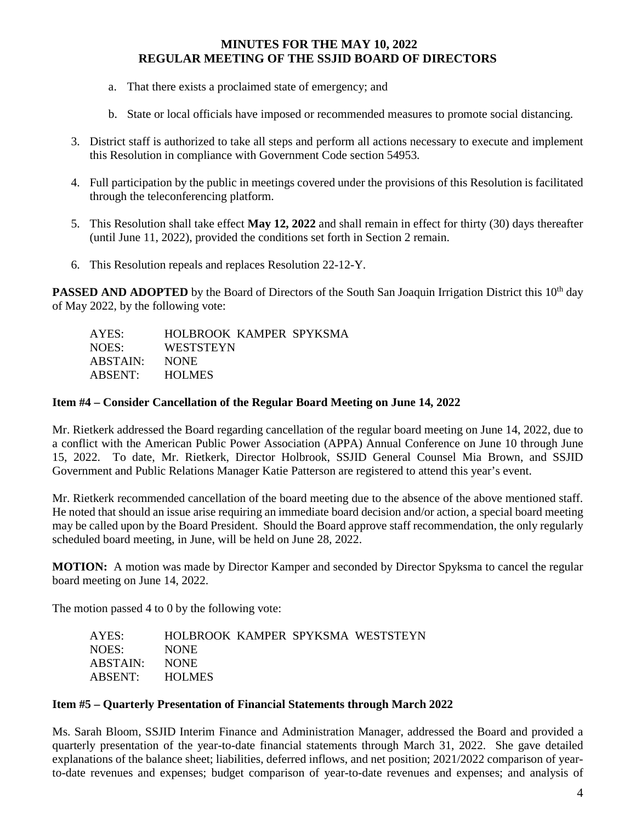- a. That there exists a proclaimed state of emergency; and
- b. State or local officials have imposed or recommended measures to promote social distancing.
- 3. District staff is authorized to take all steps and perform all actions necessary to execute and implement this Resolution in compliance with Government Code section 54953.
- 4. Full participation by the public in meetings covered under the provisions of this Resolution is facilitated through the teleconferencing platform.
- 5. This Resolution shall take effect **May 12, 2022** and shall remain in effect for thirty (30) days thereafter (until June 11, 2022), provided the conditions set forth in Section 2 remain.
- 6. This Resolution repeals and replaces Resolution 22-12-Y.

**PASSED AND ADOPTED** by the Board of Directors of the South San Joaquin Irrigation District this 10<sup>th</sup> day of May 2022, by the following vote:

| AYES:    | HOLBROOK KAMPER SPYKSMA |  |
|----------|-------------------------|--|
| NOES:    | <b>WESTSTEYN</b>        |  |
| ABSTAIN: | <b>NONE</b>             |  |
| ABSENT:  | <b>HOLMES</b>           |  |

# **Item #4 – Consider Cancellation of the Regular Board Meeting on June 14, 2022**

Mr. Rietkerk addressed the Board regarding cancellation of the regular board meeting on June 14, 2022, due to a conflict with the American Public Power Association (APPA) Annual Conference on June 10 through June 15, 2022. To date, Mr. Rietkerk, Director Holbrook, SSJID General Counsel Mia Brown, and SSJID Government and Public Relations Manager Katie Patterson are registered to attend this year's event.

Mr. Rietkerk recommended cancellation of the board meeting due to the absence of the above mentioned staff. He noted that should an issue arise requiring an immediate board decision and/or action, a special board meeting may be called upon by the Board President. Should the Board approve staff recommendation, the only regularly scheduled board meeting, in June, will be held on June 28, 2022.

**MOTION:** A motion was made by Director Kamper and seconded by Director Spyksma to cancel the regular board meeting on June 14, 2022.

The motion passed 4 to 0 by the following vote:

| AYES:          |             |  | HOLBROOK KAMPER SPYKSMA WESTSTEYN |
|----------------|-------------|--|-----------------------------------|
| NOES:          | <b>NONE</b> |  |                                   |
| ABSTAIN:       | NONE.       |  |                                   |
| ABSENT: HOLMES |             |  |                                   |

# **Item #5 – Quarterly Presentation of Financial Statements through March 2022**

Ms. Sarah Bloom, SSJID Interim Finance and Administration Manager, addressed the Board and provided a quarterly presentation of the year-to-date financial statements through March 31, 2022. She gave detailed explanations of the balance sheet; liabilities, deferred inflows, and net position; 2021/2022 comparison of yearto-date revenues and expenses; budget comparison of year-to-date revenues and expenses; and analysis of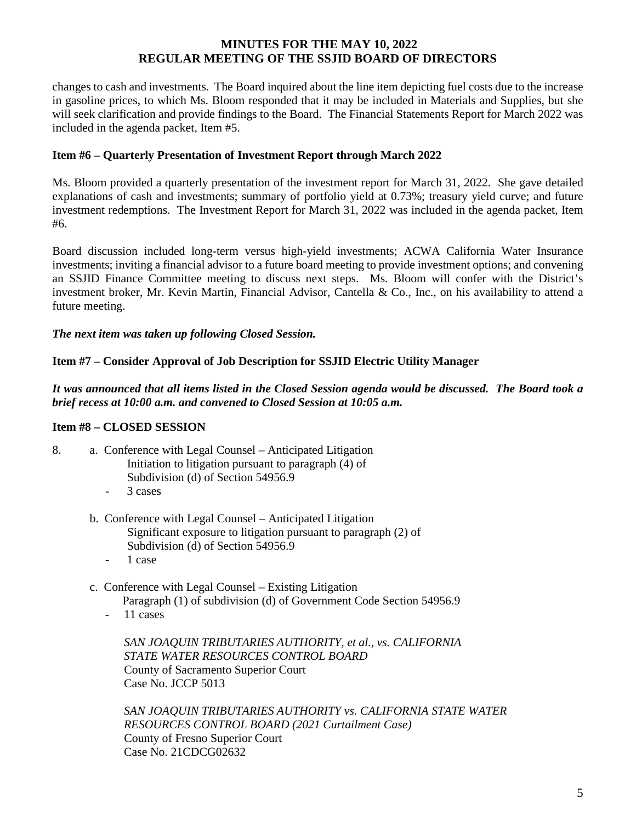changes to cash and investments. The Board inquired about the line item depicting fuel costs due to the increase in gasoline prices, to which Ms. Bloom responded that it may be included in Materials and Supplies, but she will seek clarification and provide findings to the Board. The Financial Statements Report for March 2022 was included in the agenda packet, Item #5.

# **Item #6 – Quarterly Presentation of Investment Report through March 2022**

Ms. Bloom provided a quarterly presentation of the investment report for March 31, 2022. She gave detailed explanations of cash and investments; summary of portfolio yield at 0.73%; treasury yield curve; and future investment redemptions. The Investment Report for March 31, 2022 was included in the agenda packet, Item #6.

Board discussion included long-term versus high-yield investments; ACWA California Water Insurance investments; inviting a financial advisor to a future board meeting to provide investment options; and convening an SSJID Finance Committee meeting to discuss next steps. Ms. Bloom will confer with the District's investment broker, Mr. Kevin Martin, Financial Advisor, Cantella & Co., Inc., on his availability to attend a future meeting.

# *The next item was taken up following Closed Session.*

# **Item #7 – Consider Approval of Job Description for SSJID Electric Utility Manager**

*It was announced that all items listed in the Closed Session agenda would be discussed. The Board took a brief recess at 10:00 a.m. and convened to Closed Session at 10:05 a.m.*

# **Item #8 – CLOSED SESSION**

- 8. a. Conference with Legal Counsel Anticipated Litigation Initiation to litigation pursuant to paragraph (4) of Subdivision (d) of Section 54956.9
	- 3 cases
	- b. Conference with Legal Counsel Anticipated Litigation Significant exposure to litigation pursuant to paragraph (2) of Subdivision (d) of Section 54956.9
		- 1 case
	- c. Conference with Legal Counsel Existing Litigation Paragraph (1) of subdivision (d) of Government Code Section 54956.9
		- 11 cases

*SAN JOAQUIN TRIBUTARIES AUTHORITY, et al., vs. CALIFORNIA STATE WATER RESOURCES CONTROL BOARD* County of Sacramento Superior Court Case No. JCCP 5013

*SAN JOAQUIN TRIBUTARIES AUTHORITY vs. CALIFORNIA STATE WATER RESOURCES CONTROL BOARD (2021 Curtailment Case)* County of Fresno Superior Court Case No. 21CDCG02632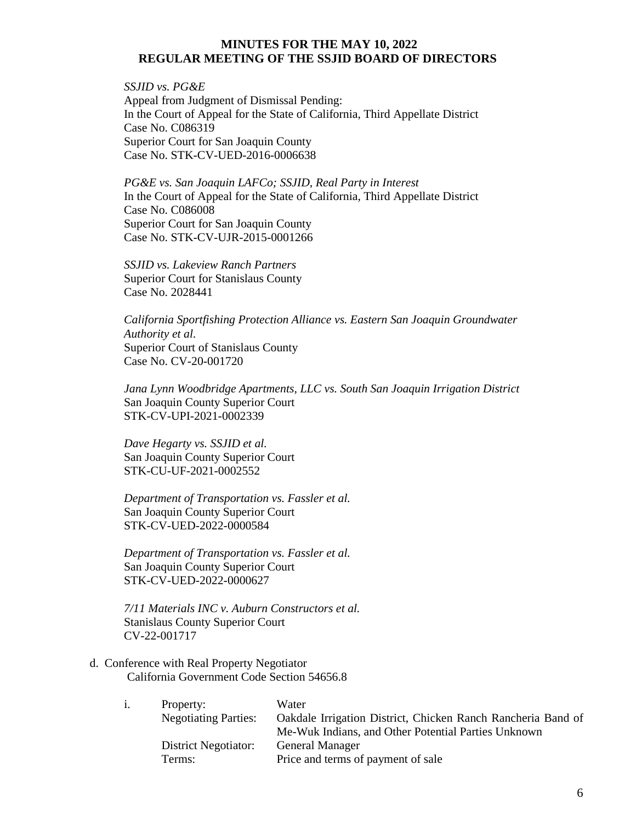*SSJID vs. PG&E* Appeal from Judgment of Dismissal Pending: In the Court of Appeal for the State of California, Third Appellate District Case No. C086319 Superior Court for San Joaquin County Case No. STK-CV-UED-2016-0006638

*PG&E vs. San Joaquin LAFCo; SSJID, Real Party in Interest* In the Court of Appeal for the State of California, Third Appellate District Case No. C086008 Superior Court for San Joaquin County Case No. STK-CV-UJR-2015-0001266

*SSJID vs. Lakeview Ranch Partners* Superior Court for Stanislaus County Case No. 2028441

*California Sportfishing Protection Alliance vs. Eastern San Joaquin Groundwater Authority et al.* Superior Court of Stanislaus County Case No. CV-20-001720

*Jana Lynn Woodbridge Apartments, LLC vs. South San Joaquin Irrigation District* San Joaquin County Superior Court STK-CV-UPI-2021-0002339

*Dave Hegarty vs. SSJID et al.*  San Joaquin County Superior Court STK-CU-UF-2021-0002552

*Department of Transportation vs. Fassler et al.* San Joaquin County Superior Court STK-CV-UED-2022-0000584

*Department of Transportation vs. Fassler et al.* San Joaquin County Superior Court STK-CV-UED-2022-0000627

*7/11 Materials INC v. Auburn Constructors et al.* Stanislaus County Superior Court CV-22-001717

d. Conference with Real Property Negotiator California Government Code Section 54656.8

| Property:                   | Water                                                        |
|-----------------------------|--------------------------------------------------------------|
| <b>Negotiating Parties:</b> | Oakdale Irrigation District, Chicken Ranch Rancheria Band of |
|                             | Me-Wuk Indians, and Other Potential Parties Unknown          |
| District Negotiator:        | <b>General Manager</b>                                       |
| Terms:                      | Price and terms of payment of sale                           |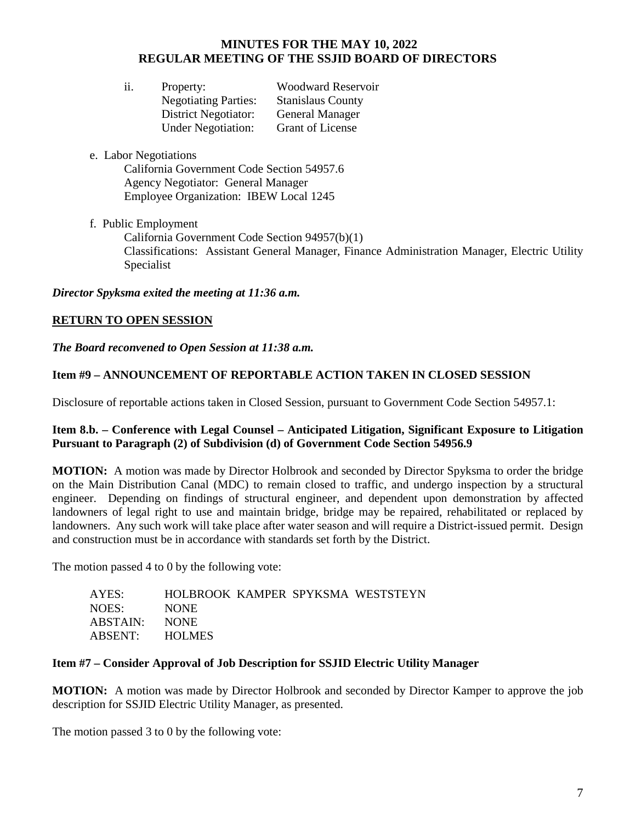| ii. | Property:                   | <b>Woodward Reservoir</b> |
|-----|-----------------------------|---------------------------|
|     | <b>Negotiating Parties:</b> | <b>Stanislaus County</b>  |
|     | <b>District Negotiator:</b> | General Manager           |
|     | <b>Under Negotiation:</b>   | <b>Grant of License</b>   |

e. Labor Negotiations

California Government Code Section 54957.6 Agency Negotiator: General Manager Employee Organization: IBEW Local 1245

f. Public Employment California Government Code Section 94957(b)(1) Classifications: Assistant General Manager, Finance Administration Manager, Electric Utility Specialist

*Director Spyksma exited the meeting at 11:36 a.m.* 

# **RETURN TO OPEN SESSION**

*The Board reconvened to Open Session at 11:38 a.m.*

# **Item #9 – ANNOUNCEMENT OF REPORTABLE ACTION TAKEN IN CLOSED SESSION**

Disclosure of reportable actions taken in Closed Session, pursuant to Government Code Section 54957.1:

# **Item 8.b. – Conference with Legal Counsel – Anticipated Litigation, Significant Exposure to Litigation Pursuant to Paragraph (2) of Subdivision (d) of Government Code Section 54956.9**

**MOTION:** A motion was made by Director Holbrook and seconded by Director Spyksma to order the bridge on the Main Distribution Canal (MDC) to remain closed to traffic, and undergo inspection by a structural engineer. Depending on findings of structural engineer, and dependent upon demonstration by affected landowners of legal right to use and maintain bridge, bridge may be repaired, rehabilitated or replaced by landowners. Any such work will take place after water season and will require a District-issued permit. Design and construction must be in accordance with standards set forth by the District.

The motion passed 4 to 0 by the following vote:

| AYES:          |             |  | HOLBROOK KAMPER SPYKSMA WESTSTEYN |
|----------------|-------------|--|-----------------------------------|
| NOES:          | <b>NONE</b> |  |                                   |
| ABSTAIN:       | NONE.       |  |                                   |
| ABSENT: HOLMES |             |  |                                   |

# **Item #7 – Consider Approval of Job Description for SSJID Electric Utility Manager**

**MOTION:** A motion was made by Director Holbrook and seconded by Director Kamper to approve the job description for SSJID Electric Utility Manager, as presented.

The motion passed 3 to 0 by the following vote: